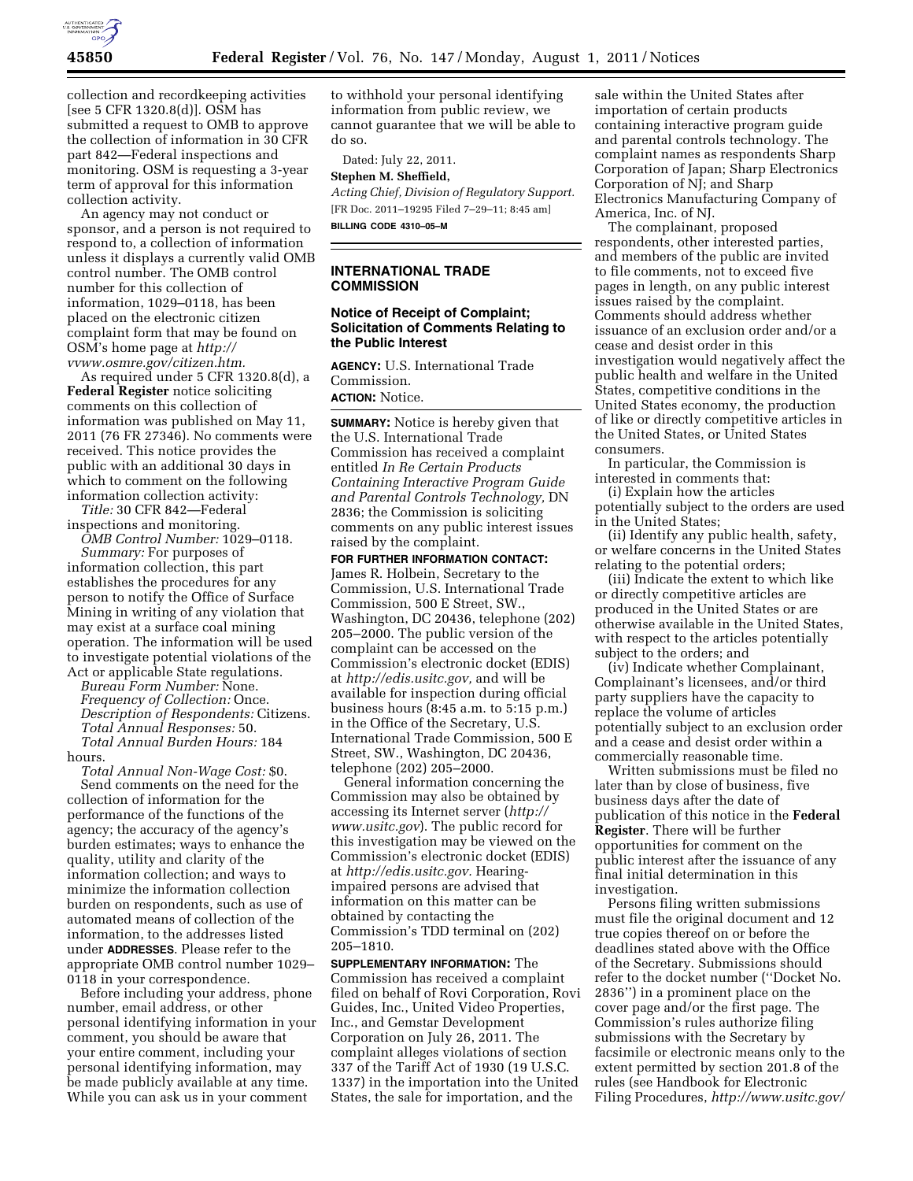

collection and recordkeeping activities [see 5 CFR 1320.8(d)]. OSM has submitted a request to OMB to approve the collection of information in 30 CFR part 842—Federal inspections and monitoring. OSM is requesting a 3-year term of approval for this information collection activity.

An agency may not conduct or sponsor, and a person is not required to respond to, a collection of information unless it displays a currently valid OMB control number. The OMB control number for this collection of information, 1029–0118, has been placed on the electronic citizen complaint form that may be found on OSM's home page at *[http://](http://vvww.osmre.gov/citizen.htm) [vvww.osmre.gov/citizen.htm.](http://vvww.osmre.gov/citizen.htm)* 

As required under 5 CFR 1320.8(d), a **Federal Register** notice soliciting comments on this collection of information was published on May 11, 2011 (76 FR 27346). No comments were received. This notice provides the public with an additional 30 days in which to comment on the following information collection activity:

*Title:* 30 CFR 842—Federal inspections and monitoring.

*OMB Control Number:* 1029–0118. *Summary:* For purposes of

information collection, this part establishes the procedures for any person to notify the Office of Surface Mining in writing of any violation that may exist at a surface coal mining operation. The information will be used to investigate potential violations of the Act or applicable State regulations.

*Bureau Form Number:* None. *Frequency of Collection:* Once. *Description of Respondents:* Citizens. *Total Annual Responses:* 50. *Total Annual Burden Hours:* 184 hours.

*Total Annual Non-Wage Cost:* \$0. Send comments on the need for the collection of information for the performance of the functions of the agency; the accuracy of the agency's burden estimates; ways to enhance the quality, utility and clarity of the information collection; and ways to minimize the information collection burden on respondents, such as use of automated means of collection of the information, to the addresses listed under **ADDRESSES**. Please refer to the appropriate OMB control number 1029– 0118 in your correspondence.

Before including your address, phone number, email address, or other personal identifying information in your comment, you should be aware that your entire comment, including your personal identifying information, may be made publicly available at any time. While you can ask us in your comment

to withhold your personal identifying information from public review, we cannot guarantee that we will be able to do so.

Dated: July 22, 2011. **Stephen M. Sheffield,** 

*Acting Chief, Division of Regulatory Support.*  [FR Doc. 2011–19295 Filed 7–29–11; 8:45 am] **BILLING CODE 4310–05–M** 

### **INTERNATIONAL TRADE COMMISSION**

#### **Notice of Receipt of Complaint; Solicitation of Comments Relating to the Public Interest**

**AGENCY:** U.S. International Trade Commission.

# **ACTION:** Notice.

**SUMMARY:** Notice is hereby given that the U.S. International Trade Commission has received a complaint entitled *In Re Certain Products Containing Interactive Program Guide and Parental Controls Technology,* DN 2836; the Commission is soliciting comments on any public interest issues raised by the complaint.

**FOR FURTHER INFORMATION CONTACT:**  James R. Holbein, Secretary to the Commission, U.S. International Trade Commission, 500 E Street, SW., Washington, DC 20436, telephone (202) 205–2000. The public version of the complaint can be accessed on the Commission's electronic docket (EDIS) at *[http://edis.usitc.gov,](http://edis.usitc.gov)* and will be available for inspection during official business hours (8:45 a.m. to 5:15 p.m.) in the Office of the Secretary, U.S. International Trade Commission, 500 E Street, SW., Washington, DC 20436, telephone (202) 205–2000.

General information concerning the Commission may also be obtained by accessing its Internet server (*[http://](http://www.usitc.gov)  [www.usitc.gov](http://www.usitc.gov)*). The public record for this investigation may be viewed on the Commission's electronic docket (EDIS) at *[http://edis.usitc.gov.](http://edis.usitc.gov)* Hearingimpaired persons are advised that information on this matter can be obtained by contacting the Commission's TDD terminal on (202) 205–1810.

**SUPPLEMENTARY INFORMATION:** The Commission has received a complaint filed on behalf of Rovi Corporation, Rovi Guides, Inc., United Video Properties, Inc., and Gemstar Development Corporation on July 26, 2011. The complaint alleges violations of section 337 of the Tariff Act of 1930 (19 U.S.C. 1337) in the importation into the United States, the sale for importation, and the

sale within the United States after importation of certain products containing interactive program guide and parental controls technology. The complaint names as respondents Sharp Corporation of Japan; Sharp Electronics Corporation of NJ; and Sharp Electronics Manufacturing Company of America, Inc. of NJ.

The complainant, proposed respondents, other interested parties, and members of the public are invited to file comments, not to exceed five pages in length, on any public interest issues raised by the complaint. Comments should address whether issuance of an exclusion order and/or a cease and desist order in this investigation would negatively affect the public health and welfare in the United States, competitive conditions in the United States economy, the production of like or directly competitive articles in the United States, or United States consumers.

In particular, the Commission is interested in comments that:

(i) Explain how the articles potentially subject to the orders are used in the United States;

(ii) Identify any public health, safety, or welfare concerns in the United States relating to the potential orders;

(iii) Indicate the extent to which like or directly competitive articles are produced in the United States or are otherwise available in the United States, with respect to the articles potentially subject to the orders; and

(iv) Indicate whether Complainant, Complainant's licensees, and/or third party suppliers have the capacity to replace the volume of articles potentially subject to an exclusion order and a cease and desist order within a commercially reasonable time.

Written submissions must be filed no later than by close of business, five business days after the date of publication of this notice in the **Federal Register**. There will be further opportunities for comment on the public interest after the issuance of any final initial determination in this investigation.

Persons filing written submissions must file the original document and 12 true copies thereof on or before the deadlines stated above with the Office of the Secretary. Submissions should refer to the docket number (''Docket No. 2836'') in a prominent place on the cover page and/or the first page. The Commission's rules authorize filing submissions with the Secretary by facsimile or electronic means only to the extent permitted by section 201.8 of the rules (see Handbook for Electronic Filing Procedures, *<http://www.usitc.gov/>*